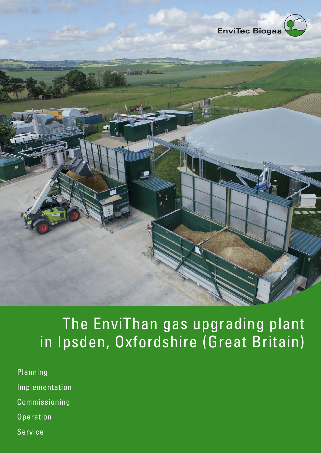

## The EnviThan gas upgrading plant in Ipsden, Oxfordshire (Great Britain)

- Planning Implementation Commissioning **Operation**
- Service